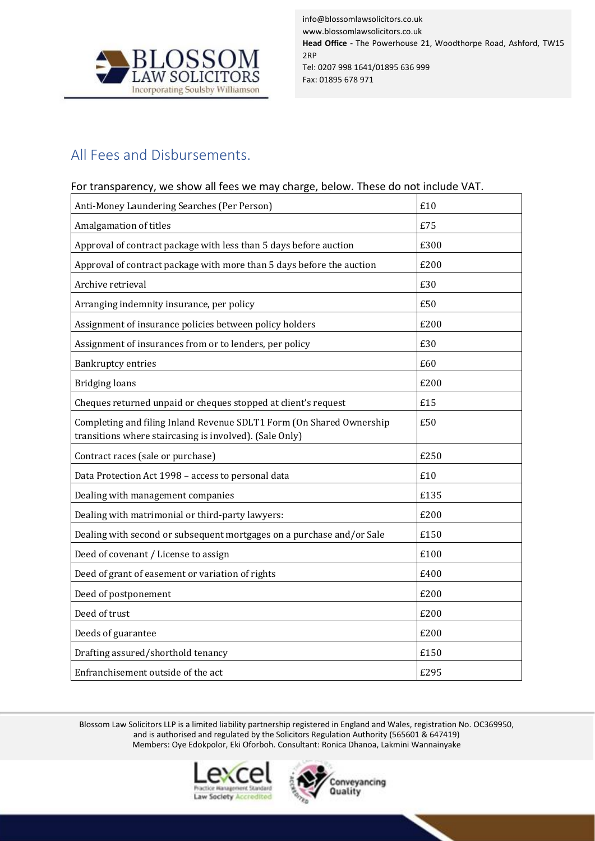

info@blossomlawsolicitors.co.uk www.blossomlawsolicitors.co.uk **Head Office -** The Powerhouse 21, Woodthorpe Road, Ashford, TW15 2RP Tel: 0207 998 1641/01895 636 999 Fax: 01895 678 971

## All Fees and Disbursements.

## For transparency, we show all fees we may charge, below. These do not include VAT.

| Anti-Money Laundering Searches (Per Person)                                                                                     | £10  |
|---------------------------------------------------------------------------------------------------------------------------------|------|
| Amalgamation of titles                                                                                                          | £75  |
| Approval of contract package with less than 5 days before auction                                                               | £300 |
| Approval of contract package with more than 5 days before the auction                                                           | £200 |
| Archive retrieval                                                                                                               | £30  |
| Arranging indemnity insurance, per policy                                                                                       | £50  |
| Assignment of insurance policies between policy holders                                                                         | £200 |
| Assignment of insurances from or to lenders, per policy                                                                         | £30  |
| <b>Bankruptcy entries</b>                                                                                                       | £60  |
| <b>Bridging loans</b>                                                                                                           | £200 |
| Cheques returned unpaid or cheques stopped at client's request                                                                  | £15  |
| Completing and filing Inland Revenue SDLT1 Form (On Shared Ownership<br>transitions where staircasing is involved). (Sale Only) | £50  |
| Contract races (sale or purchase)                                                                                               | £250 |
| Data Protection Act 1998 - access to personal data                                                                              | £10  |
| Dealing with management companies                                                                                               | £135 |
| Dealing with matrimonial or third-party lawyers:                                                                                | £200 |
| Dealing with second or subsequent mortgages on a purchase and/or Sale                                                           | £150 |
| Deed of covenant / License to assign                                                                                            | £100 |
| Deed of grant of easement or variation of rights                                                                                | £400 |
| Deed of postponement                                                                                                            | £200 |
| Deed of trust                                                                                                                   | £200 |
| Deeds of guarantee                                                                                                              | £200 |
| Drafting assured/shorthold tenancy                                                                                              | £150 |
| Enfranchisement outside of the act                                                                                              | £295 |

Blossom Law Solicitors LLP is a limited liability partnership registered in England and Wales, registration No. OC369950, and is authorised and regulated by the Solicitors Regulation Authority (565601 & 647419) Members: Oye Edokpolor, Eki Oforboh. Consultant: Ronica Dhanoa, Lakmini Wannainyake



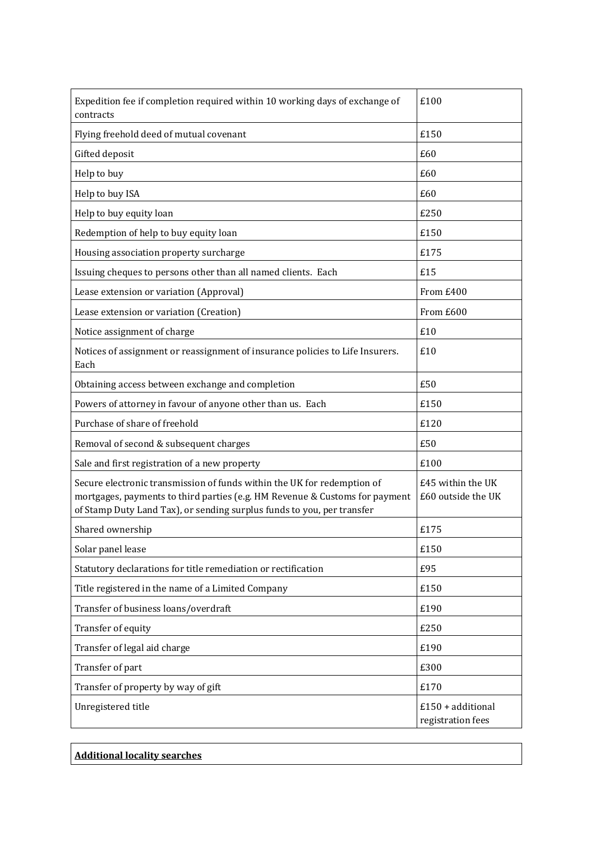| Expedition fee if completion required within 10 working days of exchange of<br>contracts                                                                                                                                         | £100                                     |
|----------------------------------------------------------------------------------------------------------------------------------------------------------------------------------------------------------------------------------|------------------------------------------|
| Flying freehold deed of mutual covenant                                                                                                                                                                                          | £150                                     |
| Gifted deposit                                                                                                                                                                                                                   | £60                                      |
| Help to buy                                                                                                                                                                                                                      | £60                                      |
| Help to buy ISA                                                                                                                                                                                                                  | £60                                      |
| Help to buy equity loan                                                                                                                                                                                                          | £250                                     |
| Redemption of help to buy equity loan                                                                                                                                                                                            | £150                                     |
| Housing association property surcharge                                                                                                                                                                                           | £175                                     |
| Issuing cheques to persons other than all named clients. Each                                                                                                                                                                    | £15                                      |
| Lease extension or variation (Approval)                                                                                                                                                                                          | From £400                                |
| Lease extension or variation (Creation)                                                                                                                                                                                          | From £600                                |
| Notice assignment of charge                                                                                                                                                                                                      | £10                                      |
| Notices of assignment or reassignment of insurance policies to Life Insurers.<br>Each                                                                                                                                            | £10                                      |
| Obtaining access between exchange and completion                                                                                                                                                                                 | £50                                      |
| Powers of attorney in favour of anyone other than us. Each                                                                                                                                                                       | £150                                     |
| Purchase of share of freehold                                                                                                                                                                                                    | £120                                     |
| Removal of second & subsequent charges                                                                                                                                                                                           | £50                                      |
| Sale and first registration of a new property                                                                                                                                                                                    | £100                                     |
| Secure electronic transmission of funds within the UK for redemption of<br>mortgages, payments to third parties (e.g. HM Revenue & Customs for payment<br>of Stamp Duty Land Tax), or sending surplus funds to you, per transfer | £45 within the UK<br>£60 outside the UK  |
| Shared ownership                                                                                                                                                                                                                 | £175                                     |
| Solar panel lease                                                                                                                                                                                                                | £150                                     |
| Statutory declarations for title remediation or rectification                                                                                                                                                                    | £95                                      |
| Title registered in the name of a Limited Company                                                                                                                                                                                | £150                                     |
| Transfer of business loans/overdraft                                                                                                                                                                                             | £190                                     |
| Transfer of equity                                                                                                                                                                                                               | £250                                     |
| Transfer of legal aid charge                                                                                                                                                                                                     | £190                                     |
| Transfer of part                                                                                                                                                                                                                 | £300                                     |
| Transfer of property by way of gift                                                                                                                                                                                              | £170                                     |
| Unregistered title                                                                                                                                                                                                               | $£150 + additional$<br>registration fees |

| Additional locality searches_ |  |  |
|-------------------------------|--|--|
|-------------------------------|--|--|